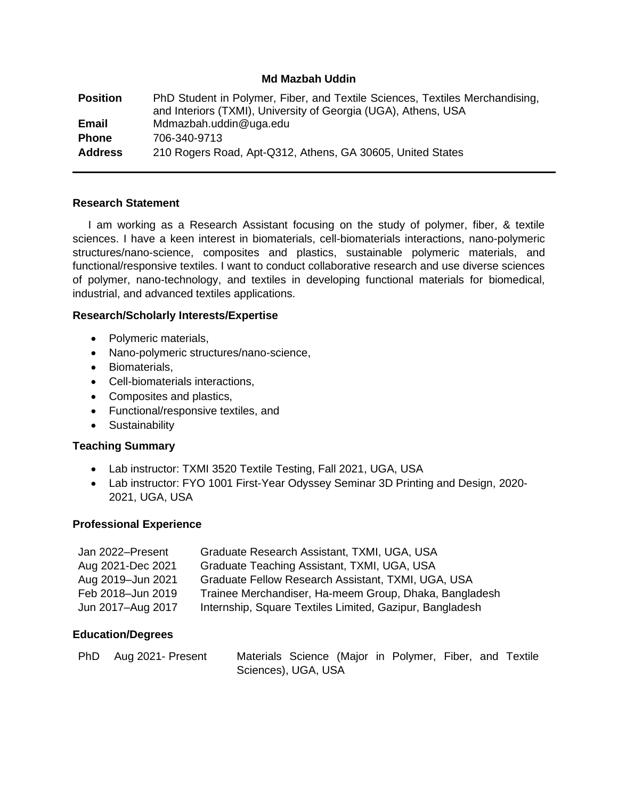#### **Md Mazbah Uddin**

**Position** PhD Student in Polymer, Fiber, and Textile Sciences, Textiles Merchandising, and Interiors (TXMI), University of Georgia (UGA), Athens, USA **Email** Mdmazbah.uddin@uga.edu **Phone** 706-340-9713 **Address** 210 Rogers Road, Apt-Q312, Athens, GA 30605, United States

#### **Research Statement**

 I am working as a Research Assistant focusing on the study of polymer, fiber, & textile sciences. I have a keen interest in biomaterials, cell-biomaterials interactions, nano-polymeric structures/nano-science, composites and plastics, sustainable polymeric materials, and functional/responsive textiles. I want to conduct collaborative research and use diverse sciences of polymer, nano-technology, and textiles in developing functional materials for biomedical, industrial, and advanced textiles applications.

#### **Research/Scholarly Interests/Expertise**

- Polymeric materials,
- Nano-polymeric structures/nano-science,
- Biomaterials,
- Cell-biomaterials interactions,
- Composites and plastics,
- Functional/responsive textiles, and
- Sustainability

# **Teaching Summary**

- Lab instructor: TXMI 3520 Textile Testing, Fall 2021, UGA, USA
- Lab instructor: FYO 1001 First-Year Odyssey Seminar 3D Printing and Design, 2020- 2021, UGA, USA

# **Professional Experience**

| Jan 2022-Present  | Graduate Research Assistant, TXMI, UGA, USA              |
|-------------------|----------------------------------------------------------|
| Aug 2021-Dec 2021 | Graduate Teaching Assistant, TXMI, UGA, USA              |
| Aug 2019-Jun 2021 | Graduate Fellow Research Assistant, TXMI, UGA, USA       |
| Feb 2018-Jun 2019 | Trainee Merchandiser, Ha-meem Group, Dhaka, Bangladesh   |
| Jun 2017-Aug 2017 | Internship, Square Textiles Limited, Gazipur, Bangladesh |

# **Education/Degrees**

| PhD Aug 2021- Present | Materials Science (Major in Polymer, Fiber, and Textile |  |  |  |  |
|-----------------------|---------------------------------------------------------|--|--|--|--|
|                       | Sciences), UGA, USA                                     |  |  |  |  |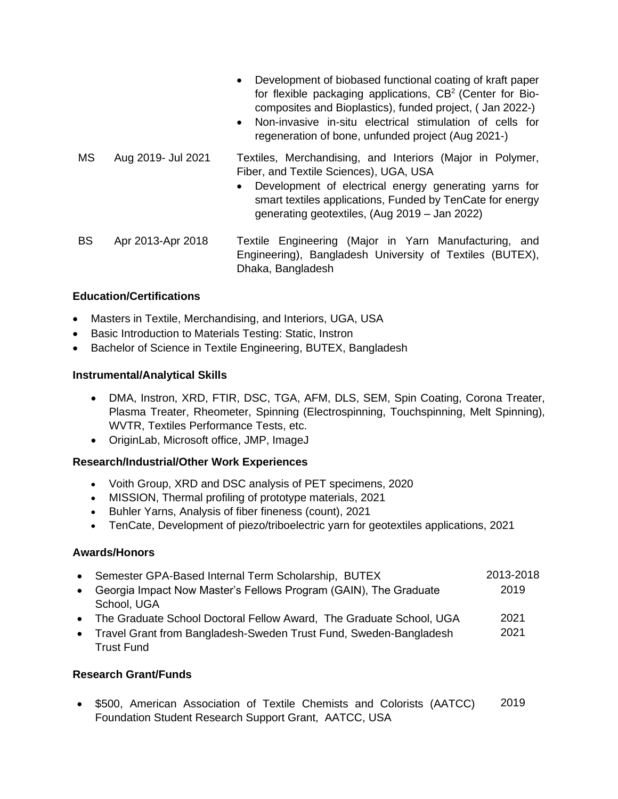• Development of biobased functional coating of kraft paper for flexible packaging applications, CB<sup>2</sup> (Center for Biocomposites and Bioplastics), funded project, ( Jan 2022-) • Non-invasive in-situ electrical stimulation of cells for regeneration of bone, unfunded project (Aug 2021-) MS Aug 2019- Jul 2021 Textiles, Merchandising, and Interiors (Major in Polymer, Fiber, and Textile Sciences), UGA, USA • Development of electrical energy generating yarns for smart textiles applications, Funded by TenCate for energy generating geotextiles, (Aug 2019 – Jan 2022) BS Apr 2013-Apr 2018 Textile Engineering (Major in Yarn Manufacturing, and Engineering), Bangladesh University of Textiles (BUTEX), Dhaka, Bangladesh

# **Education/Certifications**

- Masters in Textile, Merchandising, and Interiors, UGA, USA
- Basic Introduction to Materials Testing: Static, Instron
- Bachelor of Science in Textile Engineering, BUTEX, Bangladesh

# **Instrumental/Analytical Skills**

- DMA, Instron, XRD, FTIR, DSC, TGA, AFM, DLS, SEM, Spin Coating, Corona Treater, Plasma Treater, Rheometer, Spinning (Electrospinning, Touchspinning, Melt Spinning), WVTR, Textiles Performance Tests, etc.
- OriginLab, Microsoft office, JMP, ImageJ

# **Research/Industrial/Other Work Experiences**

- Voith Group, XRD and DSC analysis of PET specimens, 2020
- MISSION, Thermal profiling of prototype materials, 2021
- Buhler Yarns, Analysis of fiber fineness (count), 2021
- TenCate, Development of piezo/triboelectric yarn for geotextiles applications, 2021

# **Awards/Honors**

- Semester GPA-Based Internal Term Scholarship, BUTEX 2013-2018
- Georgia Impact Now Master's Fellows Program (GAIN), The Graduate School, UGA 2019
- The Graduate School Doctoral Fellow Award, The Graduate School, UGA 2021
- Travel Grant from Bangladesh-Sweden Trust Fund, Sweden-Bangladesh Trust Fund 2021

# **Research Grant/Funds**

• \$500, American Association of Textile Chemists and Colorists (AATCC) Foundation Student Research Support Grant, AATCC, USA 2019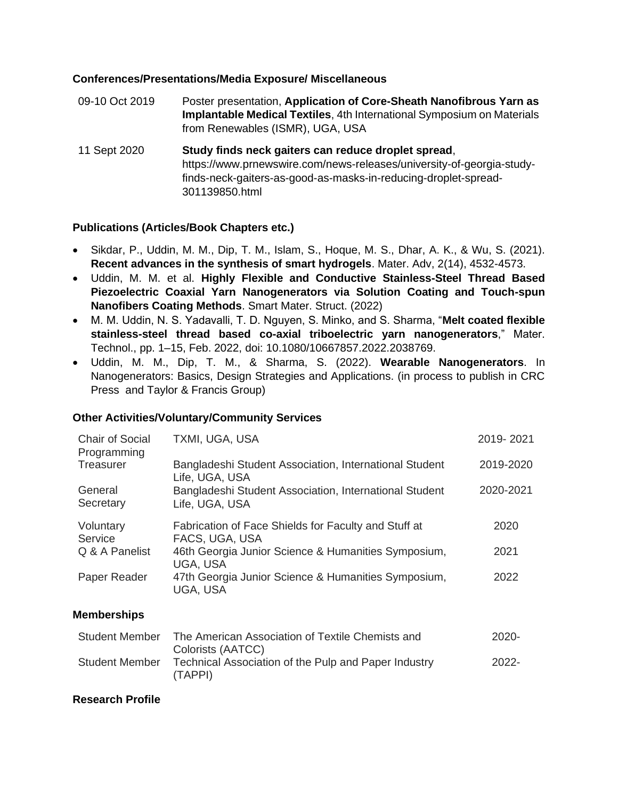#### **Conferences/Presentations/Media Exposure/ Miscellaneous**

| 09-10 Oct 2019 | Poster presentation, Application of Core-Sheath Nanofibrous Yarn as<br>Implantable Medical Textiles, 4th International Symposium on Materials<br>from Renewables (ISMR), UGA, USA                                 |
|----------------|-------------------------------------------------------------------------------------------------------------------------------------------------------------------------------------------------------------------|
| 11 Sept 2020   | Study finds neck gaiters can reduce droplet spread,<br>https://www.prnewswire.com/news-releases/university-of-georgia-study-<br>finds-neck-gaiters-as-good-as-masks-in-reducing-droplet-spread-<br>301139850.html |

# **Publications (Articles/Book Chapters etc.)**

- Sikdar, P., Uddin, M. M., Dip, T. M., Islam, S., Hoque, M. S., Dhar, A. K., & Wu, S. (2021). **Recent advances in the synthesis of smart hydrogels**. Mater. Adv, 2(14), 4532-4573.
- Uddin, M. M. et al. **Highly Flexible and Conductive Stainless-Steel Thread Based Piezoelectric Coaxial Yarn Nanogenerators via Solution Coating and Touch-spun Nanofibers Coating Methods**. Smart Mater. Struct. (2022)
- M. M. Uddin, N. S. Yadavalli, T. D. Nguyen, S. Minko, and S. Sharma, "**Melt coated flexible stainless-steel thread based co-axial triboelectric yarn nanogenerators**," Mater. Technol., pp. 1–15, Feb. 2022, doi: 10.1080/10667857.2022.2038769.
- Uddin, M. M., Dip, T. M., & Sharma, S. (2022). **Wearable Nanogenerators**. In Nanogenerators: Basics, Design Strategies and Applications. (in process to publish in CRC Press and Taylor & Francis Group)

# **Other Activities/Voluntary/Community Services**

| <b>Chair of Social</b><br>Programming | TXMI, UGA, USA                                                           | 2019-2021 |
|---------------------------------------|--------------------------------------------------------------------------|-----------|
| Treasurer                             | Bangladeshi Student Association, International Student<br>Life, UGA, USA | 2019-2020 |
| General<br>Secretary                  | Bangladeshi Student Association, International Student<br>Life, UGA, USA | 2020-2021 |
| Voluntary<br>Service                  | Fabrication of Face Shields for Faculty and Stuff at<br>FACS, UGA, USA   | 2020      |
| Q & A Panelist                        | 46th Georgia Junior Science & Humanities Symposium,<br>UGA, USA          | 2021      |
| Paper Reader                          | 47th Georgia Junior Science & Humanities Symposium,<br>UGA, USA          | 2022      |
| <b>Memberships</b>                    |                                                                          |           |
|                                       |                                                                          |           |

| <b>Student Member</b> | The American Association of Textile Chemists and                | $2020 -$ |
|-----------------------|-----------------------------------------------------------------|----------|
|                       | Colorists (AATCC)                                               |          |
| <b>Student Member</b> | Technical Association of the Pulp and Paper Industry<br>(TAPPI) | $2022 -$ |

#### **Research Profile**